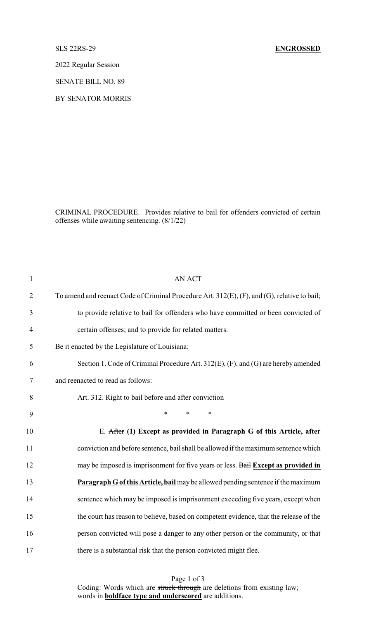2022 Regular Session

SENATE BILL NO. 89

BY SENATOR MORRIS

CRIMINAL PROCEDURE. Provides relative to bail for offenders convicted of certain offenses while awaiting sentencing. (8/1/22)

| $\mathbf{1}$   | <b>AN ACT</b>                                                                                |
|----------------|----------------------------------------------------------------------------------------------|
| $\overline{2}$ | To amend and reenact Code of Criminal Procedure Art. 312(E), (F), and (G), relative to bail; |
| 3              | to provide relative to bail for offenders who have committed or been convicted of            |
| $\overline{4}$ | certain offenses; and to provide for related matters.                                        |
| 5              | Be it enacted by the Legislature of Louisiana:                                               |
| 6              | Section 1. Code of Criminal Procedure Art. 312(E), (F), and (G) are hereby amended           |
| 7              | and reenacted to read as follows:                                                            |
| 8              | Art. 312. Right to bail before and after conviction                                          |
| 9              | *<br>$\ast$<br>$\ast$                                                                        |
| 10             | E. After (1) Except as provided in Paragraph G of this Article, after                        |
| 11             | conviction and before sentence, bail shall be allowed if the maximum sentence which          |
| 12             | may be imposed is imprisonment for five years or less. Bail Except as provided in            |
| 13             | Paragraph G of this Article, bail may be allowed pending sentence if the maximum             |
| 14             | sentence which may be imposed is imprisonment exceeding five years, except when              |
| 15             | the court has reason to believe, based on competent evidence, that the release of the        |
| 16             | person convicted will pose a danger to any other person or the community, or that            |
| 17             | there is a substantial risk that the person convicted might flee.                            |

Page 1 of 3 Coding: Words which are struck through are deletions from existing law; words in **boldface type and underscored** are additions.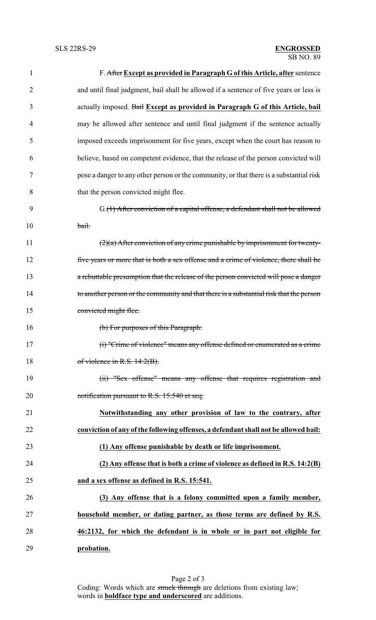| 1              | F. After Except as provided in Paragraph G of this Article, after sentence              |
|----------------|-----------------------------------------------------------------------------------------|
| $\overline{2}$ | and until final judgment, bail shall be allowed if a sentence of five years or less is  |
| 3              | actually imposed. Bail Except as provided in Paragraph G of this Article, bail          |
| 4              | may be allowed after sentence and until final judgment if the sentence actually         |
| 5              | imposed exceeds imprisonment for five years, except when the court has reason to        |
| 6              | believe, based on competent evidence, that the release of the person convicted will     |
| 7              | pose a danger to any other person or the community, or that there is a substantial risk |
| 8              | that the person convicted might flee.                                                   |
| 9              | G.(1) After conviction of a capital offense, a defendant shall not be allowed           |
| 10             | bail.                                                                                   |
| 11             | $(2)(a)$ After conviction of any crime punishable by imprisonment for twenty-           |
| 12             | five years or more that is both a sex offense and a crime of violence, there shall be   |
| 13             | a rebuttable presumption that the release of the person convicted will pose a danger    |
| 14             | to another person or the community and that there is a substantial risk that the person |
| 15             | convicted might flee.                                                                   |
| 16             | (b) For purposes of this Paragraph:                                                     |
| 17             | (i) "Crime of violence" means any offense defined or enumerated as a crime              |
| 18             | of violence in R.S. $14:2(B)$ .                                                         |
| 19             | (ii) "Sex offense" means any offense that requires registration and                     |
| 20             | notification pursuant to R.S. 15:540 et seq.                                            |
| 21             | Notwithstanding any other provision of law to the contrary, after                       |
| 22             | conviction of any of the following offenses, a defendant shall not be allowed bail:     |
| 23             | (1) Any offense punishable by death or life imprisonment.                               |
| 24             | $(2)$ Any offense that is both a crime of violence as defined in R.S. 14:2 $(B)$        |
| 25             | and a sex offense as defined in R.S. 15:541.                                            |
| 26             | (3) Any offense that is a felony committed upon a family member,                        |
| 27             | household member, or dating partner, as those terms are defined by R.S.                 |
| 28             | 46:2132, for which the defendant is in whole or in part not eligible for                |
| 29             | probation.                                                                              |

Page 2 of 3 Coding: Words which are struck through are deletions from existing law; words in **boldface type and underscored** are additions.